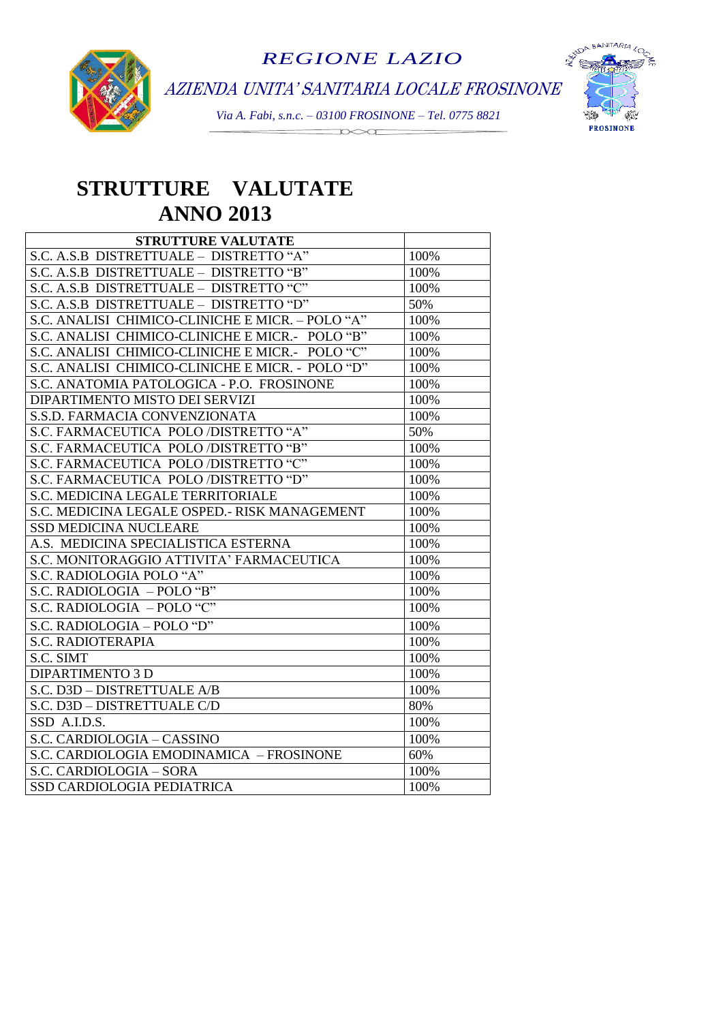

AZIENDA UNITA' SANITARIA LOCALE FROSINONE

*Via A. Fabi, s.n.c. – 03100 FROSINONE – Tel. 0775 8821*  $\begin{picture}(150,10) \put(0,0){\line(1,0){10}} \put(15,0){\line(1,0){10}} \put(15,0){\line(1,0){10}} \put(15,0){\line(1,0){10}} \put(15,0){\line(1,0){10}} \put(15,0){\line(1,0){10}} \put(15,0){\line(1,0){10}} \put(15,0){\line(1,0){10}} \put(15,0){\line(1,0){10}} \put(15,0){\line(1,0){10}} \put(15,0){\line(1,0){10}} \put(15,0){\line($ 



# **STRUTTURE VALUTATE** **ANNO 2013**

| STRUTTURE VALUTATE                               |      |
|--------------------------------------------------|------|
| S.C. A.S.B DISTRETTUALE - DISTRETTO "A"          | 100% |
| S.C. A.S.B DISTRETTUALE - DISTRETTO "B"          | 100% |
| S.C. A.S.B DISTRETTUALE - DISTRETTO "C"          | 100% |
| S.C. A.S.B DISTRETTUALE - DISTRETTO "D"          | 50%  |
| S.C. ANALISI CHIMICO-CLINICHE E MICR. - POLO "A" | 100% |
| S.C. ANALISI CHIMICO-CLINICHE E MICR.- POLO "B"  | 100% |
| S.C. ANALISI CHIMICO-CLINICHE E MICR.- POLO "C"  | 100% |
| S.C. ANALISI CHIMICO-CLINICHE E MICR. - POLO "D" | 100% |
| S.C. ANATOMIA PATOLOGICA - P.O. FROSINONE        | 100% |
| DIPARTIMENTO MISTO DEI SERVIZI                   | 100% |
| S.S.D. FARMACIA CONVENZIONATA                    | 100% |
| S.C. FARMACEUTICA POLO /DISTRETTO "A"            | 50%  |
| S.C. FARMACEUTICA POLO /DISTRETTO "B"            | 100% |
| S.C. FARMACEUTICA POLO /DISTRETTO "C"            | 100% |
| S.C. FARMACEUTICA POLO /DISTRETTO "D"            | 100% |
| S.C. MEDICINA LEGALE TERRITORIALE                | 100% |
| S.C. MEDICINA LEGALE OSPED.- RISK MANAGEMENT     | 100% |
| <b>SSD MEDICINA NUCLEARE</b>                     | 100% |
| A.S. MEDICINA SPECIALISTICA ESTERNA              | 100% |
| S.C. MONITORAGGIO ATTIVITA' FARMACEUTICA         | 100% |
| S.C. RADIOLOGIA POLO "A"                         | 100% |
| S.C. RADIOLOGIA - POLO "B"                       | 100% |
| S.C. RADIOLOGIA - POLO "C"                       | 100% |
| S.C. RADIOLOGIA - POLO "D"                       | 100% |
| <b>S.C. RADIOTERAPIA</b>                         | 100% |
| S.C. SIMT                                        | 100% |
| <b>DIPARTIMENTO 3 D</b>                          | 100% |
| S.C. D3D - DISTRETTUALE A/B                      | 100% |
| S.C. D3D - DISTRETTUALE C/D                      | 80%  |
| SSD A.I.D.S.                                     | 100% |
| S.C. CARDIOLOGIA - CASSINO                       | 100% |
| S.C. CARDIOLOGIA EMODINAMICA - FROSINONE         | 60%  |
| S.C. CARDIOLOGIA - SORA                          | 100% |
| SSD CARDIOLOGIA PEDIATRICA                       | 100% |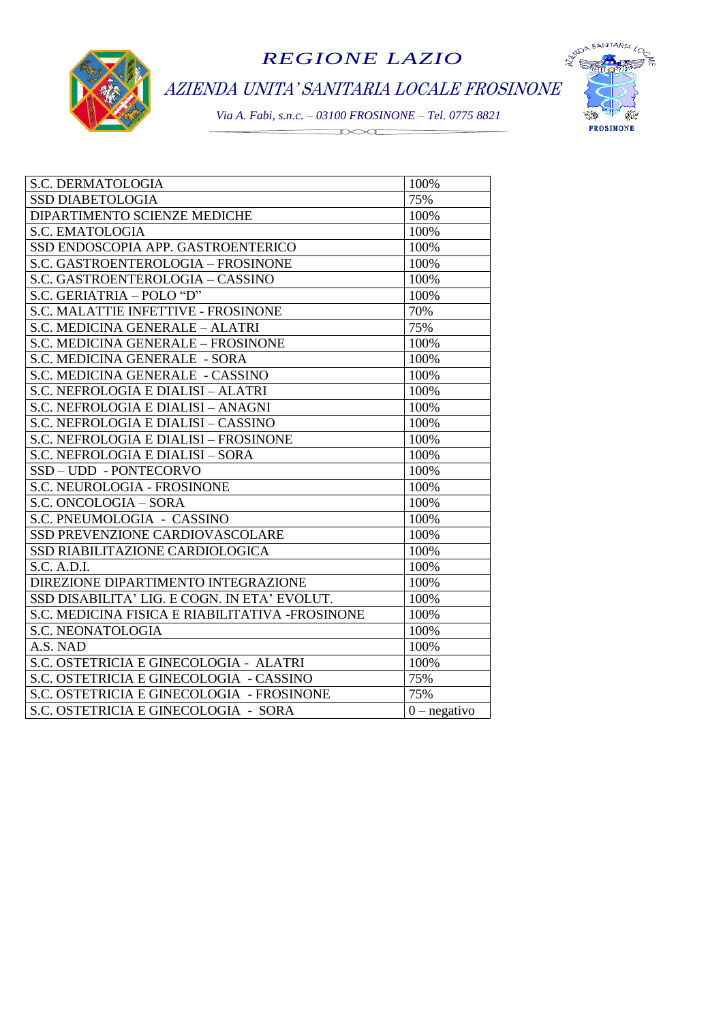





| S.C. DERMATOLOGIA                               | 100%           |
|-------------------------------------------------|----------------|
| <b>SSD DIABETOLOGIA</b>                         | 75%            |
| DIPARTIMENTO SCIENZE MEDICHE                    | 100%           |
| <b>S.C. EMATOLOGIA</b>                          | 100%           |
| SSD ENDOSCOPIA APP. GASTROENTERICO              | 100%           |
| S.C. GASTROENTEROLOGIA - FROSINONE              | 100%           |
| S.C. GASTROENTEROLOGIA - CASSINO                | 100%           |
| S.C. GERIATRIA - POLO "D"                       | 100%           |
| S.C. MALATTIE INFETTIVE - FROSINONE             | 70%            |
| S.C. MEDICINA GENERALE - ALATRI                 | 75%            |
| S.C. MEDICINA GENERALE - FROSINONE              | 100%           |
| S.C. MEDICINA GENERALE - SORA                   | 100%           |
| S.C. MEDICINA GENERALE - CASSINO                | 100%           |
| S.C. NEFROLOGIA E DIALISI - ALATRI              | 100%           |
| S.C. NEFROLOGIA E DIALISI - ANAGNI              | 100%           |
| S.C. NEFROLOGIA E DIALISI – CASSINO             | 100%           |
| S.C. NEFROLOGIA E DIALISI - FROSINONE           | 100%           |
| S.C. NEFROLOGIA E DIALISI - SORA                | 100%           |
| SSD-UDD-PONTECORVO                              | 100%           |
| S.C. NEUROLOGIA - FROSINONE                     | 100%           |
| S.C. ONCOLOGIA - SORA                           | 100%           |
| S.C. PNEUMOLOGIA - CASSINO                      | 100%           |
| SSD PREVENZIONE CARDIOVASCOLARE                 | 100%           |
| SSD RIABILITAZIONE CARDIOLOGICA                 | 100%           |
| S.C. A.D.I.                                     | 100%           |
| DIREZIONE DIPARTIMENTO INTEGRAZIONE             | 100%           |
| SSD DISABILITA' LIG. E COGN. IN ETA' EVOLUT.    | 100%           |
| S.C. MEDICINA FISICA E RIABILITATIVA -FROSINONE | 100%           |
| S.C. NEONATOLOGIA                               | 100%           |
| A.S. NAD                                        | 100%           |
| S.C. OSTETRICIA E GINECOLOGIA - ALATRI          | 100%           |
| S.C. OSTETRICIA E GINECOLOGIA - CASSINO         | 75%            |
| S.C. OSTETRICIA E GINECOLOGIA - FROSINONE       | 75%            |
| S.C. OSTETRICIA E GINECOLOGIA - SORA            | $0$ – negativo |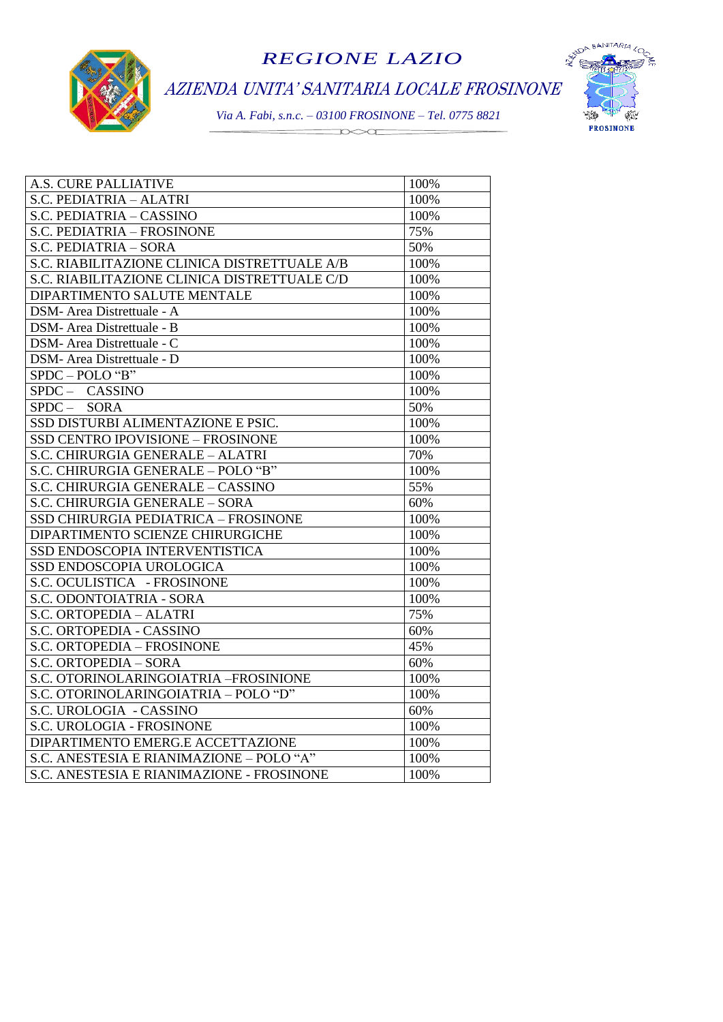





| A.S. CURE PALLIATIVE                         | 100% |
|----------------------------------------------|------|
| S.C. PEDIATRIA - ALATRI                      | 100% |
| S.C. PEDIATRIA - CASSINO                     | 100% |
| S.C. PEDIATRIA - FROSINONE                   | 75%  |
| S.C. PEDIATRIA - SORA                        | 50%  |
| S.C. RIABILITAZIONE CLINICA DISTRETTUALE A/B | 100% |
| S.C. RIABILITAZIONE CLINICA DISTRETTUALE C/D | 100% |
| DIPARTIMENTO SALUTE MENTALE                  | 100% |
| DSM- Area Distrettuale - A                   | 100% |
| DSM- Area Distrettuale - B                   | 100% |
| DSM- Area Distrettuale - C                   | 100% |
| DSM- Area Distrettuale - D                   | 100% |
| $SPDC-POLO$ "B"                              | 100% |
| SPDC- CASSINO                                | 100% |
| $SPDC - SORA$                                | 50%  |
| SSD DISTURBI ALIMENTAZIONE E PSIC.           | 100% |
| SSD CENTRO IPOVISIONE - FROSINONE            | 100% |
| S.C. CHIRURGIA GENERALE - ALATRI             | 70%  |
| S.C. CHIRURGIA GENERALE - POLO "B"           | 100% |
| S.C. CHIRURGIA GENERALE - CASSINO            | 55%  |
| S.C. CHIRURGIA GENERALE - SORA               | 60%  |
| SSD CHIRURGIA PEDIATRICA - FROSINONE         | 100% |
| DIPARTIMENTO SCIENZE CHIRURGICHE             | 100% |
| SSD ENDOSCOPIA INTERVENTISTICA               | 100% |
| SSD ENDOSCOPIA UROLOGICA                     | 100% |
| S.C. OCULISTICA - FROSINONE                  | 100% |
| S.C. ODONTOIATRIA - SORA                     | 100% |
| S.C. ORTOPEDIA - ALATRI                      | 75%  |
| S.C. ORTOPEDIA - CASSINO                     | 60%  |
| S.C. ORTOPEDIA - FROSINONE                   | 45%  |
| S.C. ORTOPEDIA - SORA                        | 60%  |
| S.C. OTORINOLARINGOIATRIA - FROSINIONE       | 100% |
| S.C. OTORINOLARINGOIATRIA - POLO "D"         | 100% |
| S.C. UROLOGIA - CASSINO                      | 60%  |
| S.C. UROLOGIA - FROSINONE                    | 100% |
| DIPARTIMENTO EMERG.E ACCETTAZIONE            | 100% |
| S.C. ANESTESIA E RIANIMAZIONE - POLO "A"     | 100% |
| S.C. ANESTESIA E RIANIMAZIONE - FROSINONE    | 100% |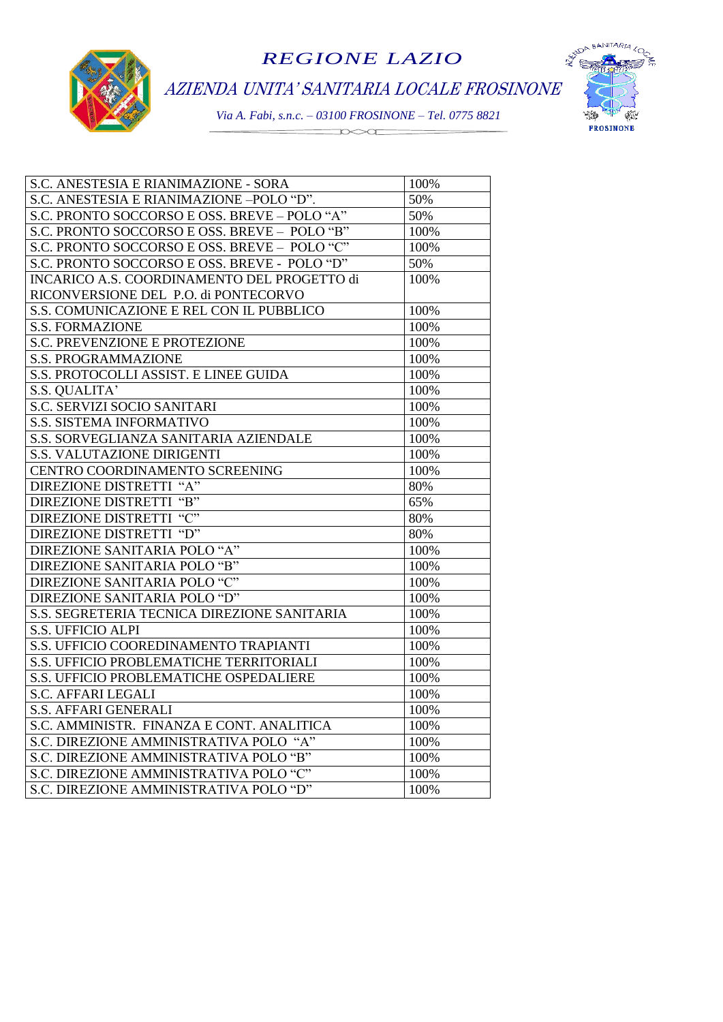

AZIENDA UNITA' SANITARIA LOCALE FROSINONE



| S.C. ANESTESIA E RIANIMAZIONE - SORA         | 100% |
|----------------------------------------------|------|
| S.C. ANESTESIA E RIANIMAZIONE -POLO "D".     | 50%  |
| S.C. PRONTO SOCCORSO E OSS. BREVE - POLO "A" | 50%  |
| S.C. PRONTO SOCCORSO E OSS. BREVE - POLO "B" | 100% |
| S.C. PRONTO SOCCORSO E OSS. BREVE - POLO "C" | 100% |
| S.C. PRONTO SOCCORSO E OSS. BREVE - POLO "D" | 50%  |
| INCARICO A.S. COORDINAMENTO DEL PROGETTO di  | 100% |
| RICONVERSIONE DEL P.O. di PONTECORVO         |      |
| S.S. COMUNICAZIONE E REL CON IL PUBBLICO     | 100% |
| <b>S.S. FORMAZIONE</b>                       | 100% |
| <b>S.C. PREVENZIONE E PROTEZIONE</b>         | 100% |
| <b>S.S. PROGRAMMAZIONE</b>                   | 100% |
| S.S. PROTOCOLLI ASSIST. E LINEE GUIDA        | 100% |
| S.S. QUALITA'                                | 100% |
| S.C. SERVIZI SOCIO SANITARI                  | 100% |
| <b>S.S. SISTEMA INFORMATIVO</b>              | 100% |
| S.S. SORVEGLIANZA SANITARIA AZIENDALE        | 100% |
| S.S. VALUTAZIONE DIRIGENTI                   | 100% |
| CENTRO COORDINAMENTO SCREENING               | 100% |
| DIREZIONE DISTRETTI "A"                      | 80%  |
| DIREZIONE DISTRETTI "B"                      | 65%  |
| DIREZIONE DISTRETTI "C"                      | 80%  |
| DIREZIONE DISTRETTI "D"                      | 80%  |
| DIREZIONE SANITARIA POLO "A"                 | 100% |
| DIREZIONE SANITARIA POLO "B"                 | 100% |
| DIREZIONE SANITARIA POLO "C"                 | 100% |
| DIREZIONE SANITARIA POLO "D"                 | 100% |
| S.S. SEGRETERIA TECNICA DIREZIONE SANITARIA  | 100% |
| <b>S.S. UFFICIO ALPI</b>                     | 100% |
| S.S. UFFICIO COOREDINAMENTO TRAPIANTI        | 100% |
| S.S. UFFICIO PROBLEMATICHE TERRITORIALI      | 100% |
| S.S. UFFICIO PROBLEMATICHE OSPEDALIERE       | 100% |
| <b>S.C. AFFARI LEGALI</b>                    | 100% |
| <b>S.S. AFFARI GENERALI</b>                  | 100% |
| S.C. AMMINISTR. FINANZA E CONT. ANALITICA    | 100% |
| S.C. DIREZIONE AMMINISTRATIVA POLO "A"       | 100% |
| S.C. DIREZIONE AMMINISTRATIVA POLO "B"       | 100% |
| S.C. DIREZIONE AMMINISTRATIVA POLO "C"       | 100% |
| S.C. DIREZIONE AMMINISTRATIVA POLO "D"       | 100% |